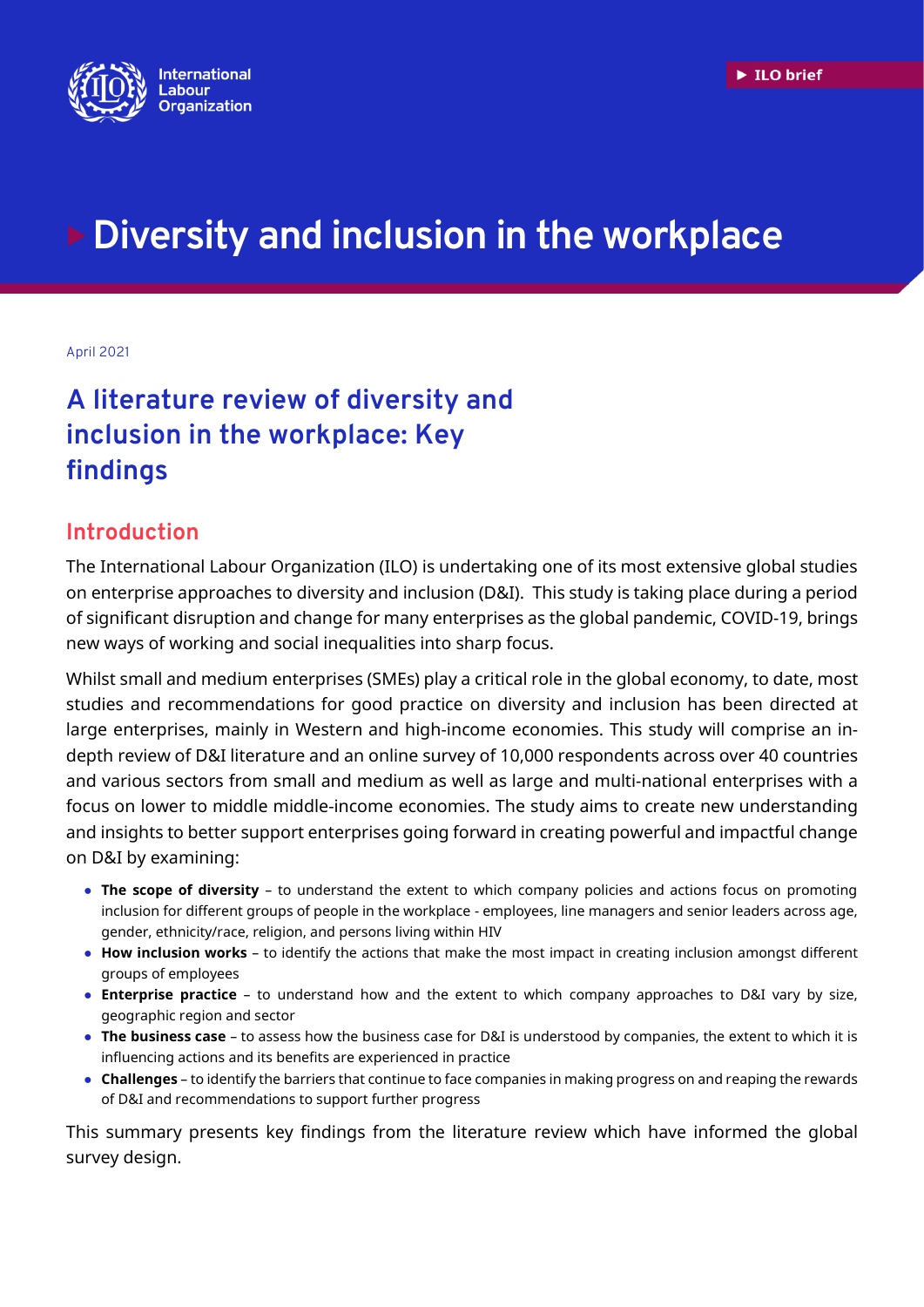

# **Diversity and inclusion in the workplace**

#### April 2021

## **A literature review of diversity and inclusion in the workplace: Key findings**

### **Introduction**

The International Labour Organization (ILO) is undertaking one of its most extensive global studies on enterprise approaches to diversity and inclusion (D&I). This study is taking place during a period of significant disruption and change for many enterprises as the global pandemic, COVID-19, brings new ways of working and social inequalities into sharp focus.

Whilst small and medium enterprises (SMEs) play a critical role in the global economy, to date, most studies and recommendations for good practice on diversity and inclusion has been directed at large enterprises, mainly in Western and high-income economies. This study will comprise an indepth review of D&I literature and an online survey of 10,000 respondents across over 40 countries and various sectors from small and medium as well as large and multi-national enterprises with a focus on lower to middle middle-income economies. The study aims to create new understanding and insights to better support enterprises going forward in creating powerful and impactful change on D&I by examining:

- **The scope of diversity** to understand the extent to which company policies and actions focus on promoting inclusion for different groups of people in the workplace - employees, line managers and senior leaders across age, gender, ethnicity/race, religion, and persons living within HIV
- **How inclusion works** to identify the actions that make the most impact in creating inclusion amongst different groups of employees
- **Enterprise practice** to understand how and the extent to which company approaches to D&I vary by size, geographic region and sector
- **The business case** to assess how the business case for D&I is understood by companies, the extent to which it is influencing actions and its benefits are experienced in practice
- **Challenges** to identify the barriers that continue to face companies in making progress on and reaping the rewards of D&I and recommendations to support further progress

This summary presents key findings from the literature review which have informed the global survey design.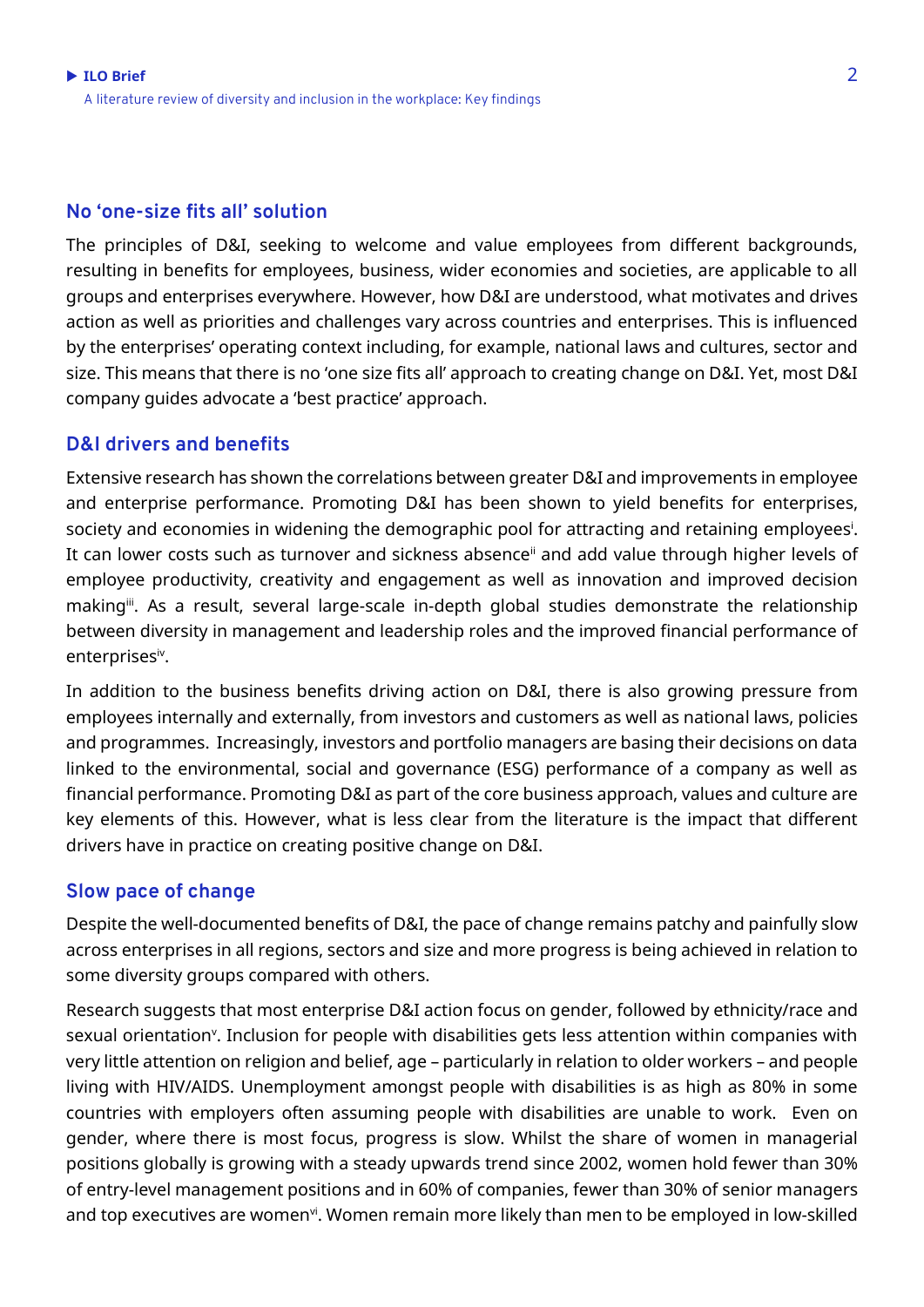#### **No 'one-size fits all' solution**

The principles of D&I, seeking to welcome and value employees from different backgrounds, resulting in benefits for employees, business, wider economies and societies, are applicable to all groups and enterprises everywhere. However, how D&I are understood, what motivates and drives action as well as priorities and challenges vary across countries and enterprises. This is influenced by the enterprises' operating context including, for example, national laws and cultures, sector and size. This means that there is no 'one size fits all' approach to creating change on D&I. Yet, most D&I company guides advocate a 'best practice' approach.

#### **D&I drivers and benefits**

Extensive research has shown the correlations between greater D&I and improvements in employee and enterprise performance. Promoting D&I has been shown to yield benefits for enterprises, society and economies in widening the demographic pool for attracting and retaining employees<sup>i</sup>. It can lower costs such as turnover and sickness absence<sup>ii</sup> and add value through higher levels of employee productivity, creativity and engagement as well as innovation and improved decision making<sup>ii</sup>. As a result, several large-scale in-depth global studies demonstrate the relationship between diversity in management and leadership roles and the improved financial performance of enterprisesiv .

In addition to the business benefits driving action on D&I, there is also growing pressure from employees internally and externally, from investors and customers as well as national laws, policies and programmes. Increasingly, investors and portfolio managers are basing their decisions on data linked to the environmental, social and governance (ESG) performance of a company as well as financial performance. Promoting D&I as part of the core business approach, values and culture are key elements of this. However, what is less clear from the literature is the impact that different drivers have in practice on creating positive change on D&I.

#### **Slow pace of change**

Despite the well-documented benefits of D&I, the pace of change remains patchy and painfully slow across enterprises in all regions, sectors and size and more progress is being achieved in relation to some diversity groups compared with others.

Research suggests that most enterprise D&I action focus on gender, followed by ethnicity/race and sexual orientation<sup>v</sup>. Inclusion for people with disabilities gets less attention within companies with very little attention on religion and belief, age – particularly in relation to older workers – and people living with HIV/AIDS. Unemployment amongst people with disabilities is as high as 80% in some countries with employers often assuming people with disabilities are unable to work. Even on gender, where there is most focus, progress is slow. Whilst the share of women in managerial positions globally is growing with a steady upwards trend since 2002, women hold fewer than 30% of entry-level management positions and in 60% of companies, fewer than 30% of senior managers and top executives are women<sup>vi</sup>. Women remain more likely than men to be employed in low-skilled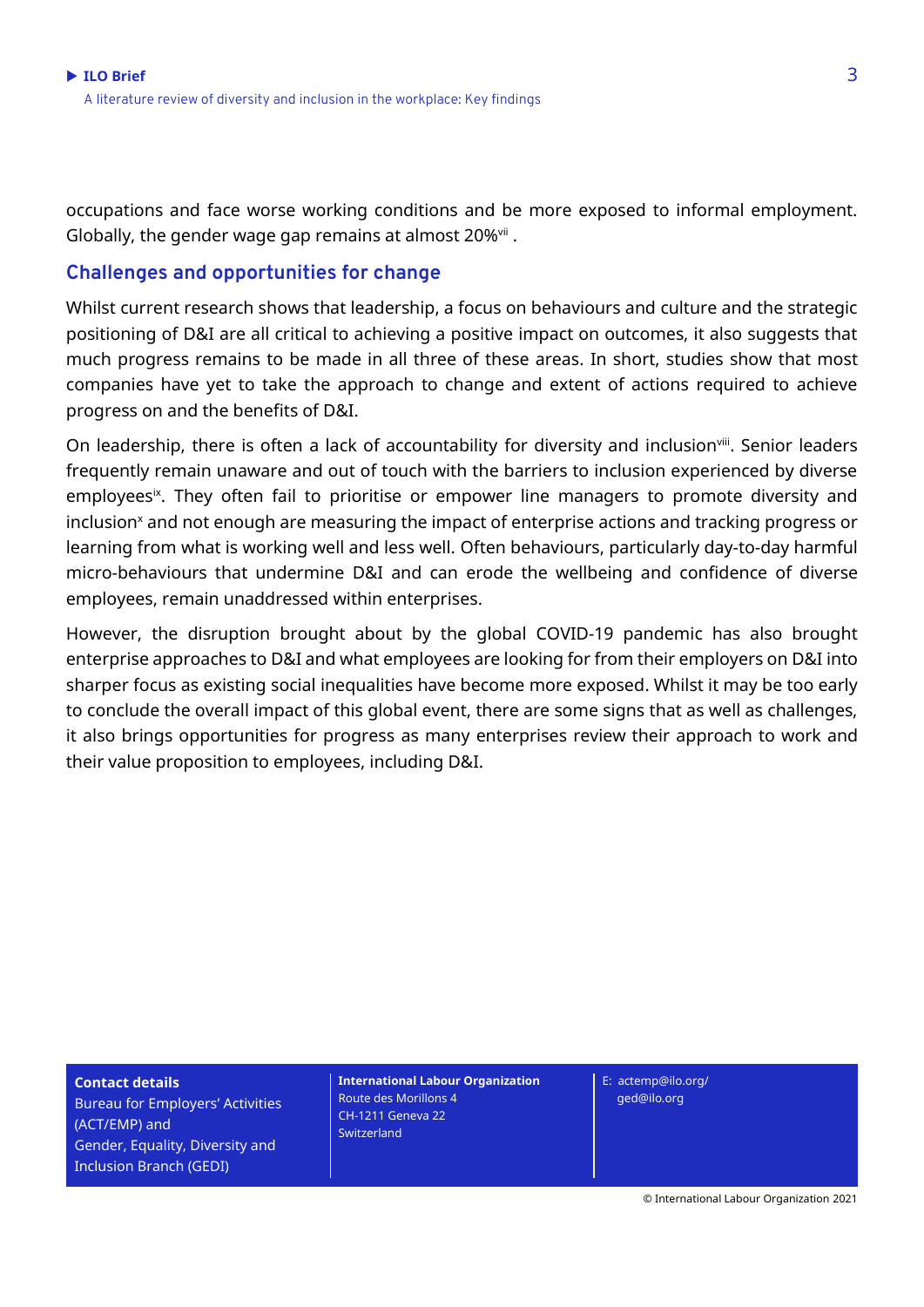occupations and face worse working conditions and be more exposed to informal employment. Globally, the gender wage gap remains at almost 20%<sup>vii</sup> .

#### **Challenges and opportunities for change**

Whilst current research shows that leadership, a focus on behaviours and culture and the strategic positioning of D&I are all critical to achieving a positive impact on outcomes, it also suggests that much progress remains to be made in all three of these areas. In short, studies show that most companies have yet to take the approach to change and extent of actions required to achieve progress on and the benefits of D&I.

On leadership, there is often a lack of accountability for diversity and inclusion<sup>viii</sup>. Senior leaders frequently remain unaware and out of touch with the barriers to inclusion experienced by diverse employees<sup>ix</sup>. They often fail to prioritise or empower line managers to promote diversity and inclusion<sup>x</sup> and not enough are measuring the impact of enterprise actions and tracking progress or learning from what is working well and less well. Often behaviours, particularly day-to-day harmful micro-behaviours that undermine D&I and can erode the wellbeing and confidence of diverse employees, remain unaddressed within enterprises.

However, the disruption brought about by the global COVID-19 pandemic has also brought enterprise approaches to D&I and what employees are looking for from their employers on D&I into sharper focus as existing social inequalities have become more exposed. Whilst it may be too early to conclude the overall impact of this global event, there are some signs that as well as challenges, it also brings opportunities for progress as many enterprises review their approach to work and their value proposition to employees, including D&I.

**Contact details** Bureau for Employers' Activities (ACT/EMP) and Gender, Equality, Diversity and Inclusion Branch (GEDI)

**International Labour Organization** Route des Morillons 4 CH-1211 Geneva 22 **Switzerland** 

E: actemp@ilo.org/ ged@ilo.org

© International Labour Organization 2021